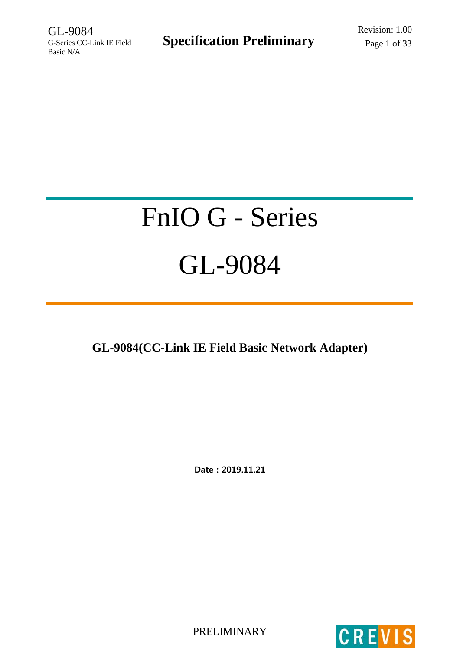# FnIO G - Series GL-9084

**GL-9084(CC-Link IE Field Basic Network Adapter)**

Date : 2019.11.21

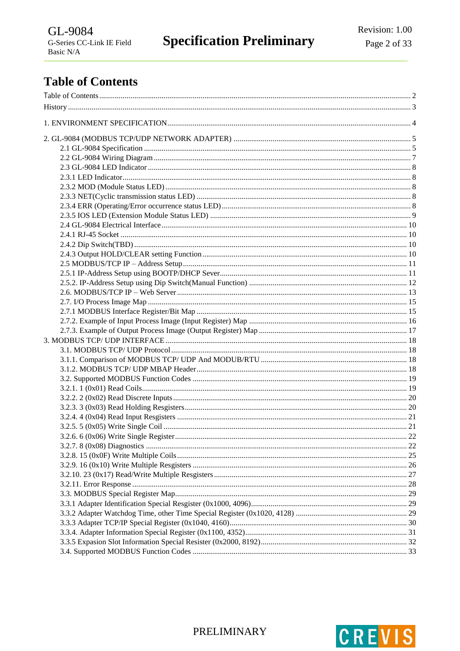# <span id="page-1-0"></span>**Table of Contents**

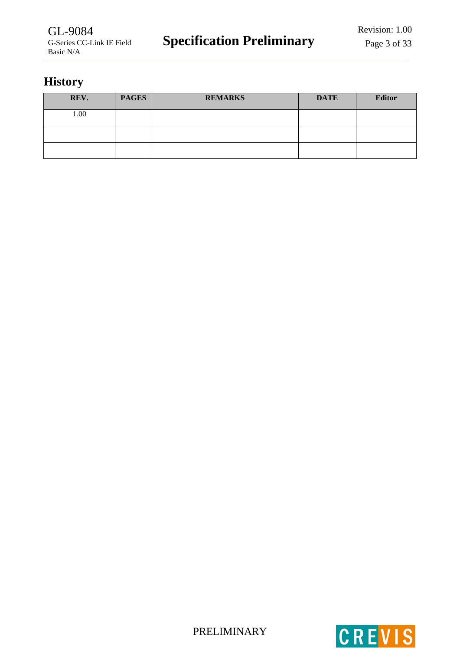# <span id="page-2-0"></span>**History**

| REV. | <b>PAGES</b> | <b>REMARKS</b> | <b>DATE</b> | <b>Editor</b> |
|------|--------------|----------------|-------------|---------------|
| 1.00 |              |                |             |               |
|      |              |                |             |               |
|      |              |                |             |               |



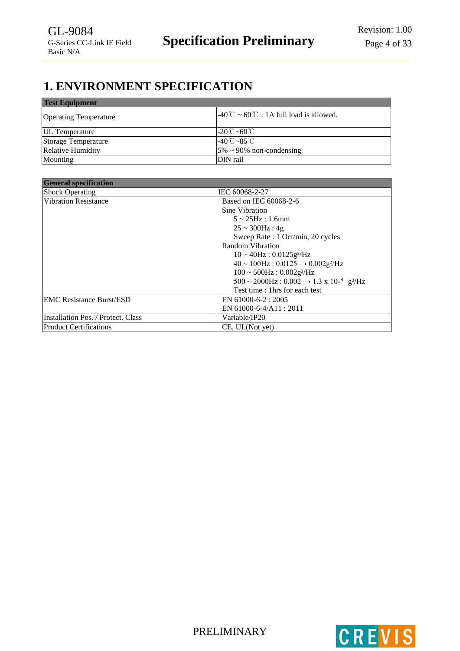# <span id="page-3-0"></span>**1. ENVIRONMENT SPECIFICATION**

| <b>Test Equipment</b>        |                                                                          |
|------------------------------|--------------------------------------------------------------------------|
| <b>Operating Temperature</b> | $-40^{\circ}\text{C} \sim 60^{\circ}\text{C}$ : 1A full load is allowed. |
| <b>UL</b> Temperature        | $-20^{\circ}$ C ~60 $^{\circ}$ C                                         |
| Storage Temperature          | $-40^{\circ}$ C ~ $85^{\circ}$ C                                         |
| <b>Relative Humidity</b>     | $5\% \sim 90\%$ non-condensing                                           |
| Mounting                     | DIN rail                                                                 |

| <b>General specification</b>       |                                                                                                   |
|------------------------------------|---------------------------------------------------------------------------------------------------|
| <b>Shock Operating</b>             | IEC 60068-2-27                                                                                    |
| <b>Vibration Resistance</b>        | Based on IEC 60068-2-6                                                                            |
|                                    | Sine Vibration                                                                                    |
|                                    | $5 \sim 25$ Hz : 1.6mm                                                                            |
|                                    | $25 \sim 300$ Hz: 4g                                                                              |
|                                    | Sweep Rate: 1 Oct/min, 20 cycles                                                                  |
|                                    | Random Vibration                                                                                  |
|                                    | $10 \sim 40$ Hz: $0.0125$ g <sup>2</sup> /Hz                                                      |
|                                    | $40 \sim 100$ Hz: $0.0125 \rightarrow 0.002$ g <sup>2</sup> /Hz                                   |
|                                    | $100 \sim 500$ Hz: $0.002$ g <sup>2</sup> /Hz                                                     |
|                                    | $500 \sim 2000 \text{Hz}$ : $0.002 \rightarrow 1.3 \text{ x } 10^{-4} \text{ g}$ <sup>2</sup> /Hz |
|                                    | Test time : 1 hrs for each test                                                                   |
| <b>EMC Resistance Burst/ESD</b>    | EN 61000-6-2: 2005                                                                                |
|                                    | EN 61000-6-4/A11 : 2011                                                                           |
| Installation Pos. / Protect. Class | Variable/IP20                                                                                     |
| Product Certifications             | CE, UL(Not yet)                                                                                   |

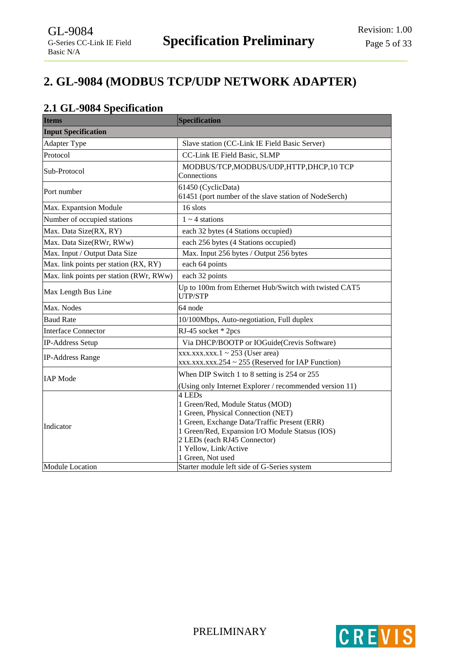# <span id="page-4-0"></span>**2. GL-9084 (MODBUS TCP/UDP NETWORK ADAPTER)**

# <span id="page-4-1"></span>**2.1 GL-9084 Specification**

| <b>Items</b>                            | <b>Specification</b>                                                                                                                                                                                                                                              |  |
|-----------------------------------------|-------------------------------------------------------------------------------------------------------------------------------------------------------------------------------------------------------------------------------------------------------------------|--|
| <b>Input Specification</b>              |                                                                                                                                                                                                                                                                   |  |
| Adapter Type                            | Slave station (CC-Link IE Field Basic Server)                                                                                                                                                                                                                     |  |
| Protocol                                | CC-Link IE Field Basic, SLMP                                                                                                                                                                                                                                      |  |
| Sub-Protocol                            | MODBUS/TCP, MODBUS/UDP, HTTP, DHCP, 10 TCP<br>Connections                                                                                                                                                                                                         |  |
| Port number                             | 61450 (CyclicData)<br>61451 (port number of the slave station of NodeSerch)                                                                                                                                                                                       |  |
| Max. Expantsion Module                  | 16 slots                                                                                                                                                                                                                                                          |  |
| Number of occupied stations             | $1 \sim 4$ stations                                                                                                                                                                                                                                               |  |
| Max. Data Size(RX, RY)                  | each 32 bytes (4 Stations occupied)                                                                                                                                                                                                                               |  |
| Max. Data Size(RWr, RWw)                | each 256 bytes (4 Stations occupied)                                                                                                                                                                                                                              |  |
| Max. Input / Output Data Size           | Max. Input 256 bytes / Output 256 bytes                                                                                                                                                                                                                           |  |
| Max. link points per station (RX, RY)   | each 64 points                                                                                                                                                                                                                                                    |  |
| Max. link points per station (RWr, RWw) | each 32 points                                                                                                                                                                                                                                                    |  |
| Max Length Bus Line                     | Up to 100m from Ethernet Hub/Switch with twisted CAT5<br>UTP/STP                                                                                                                                                                                                  |  |
| Max. Nodes                              | 64 node                                                                                                                                                                                                                                                           |  |
| <b>Baud Rate</b>                        | 10/100Mbps, Auto-negotiation, Full duplex                                                                                                                                                                                                                         |  |
| <b>Interface Connector</b>              | RJ-45 socket * 2pcs                                                                                                                                                                                                                                               |  |
| IP-Address Setup                        | Via DHCP/BOOTP or IOGuide(Crevis Software)                                                                                                                                                                                                                        |  |
| <b>IP-Address Range</b>                 | $xxxx.xxx.xxx.1 \sim 253$ (User area)<br>$xxxx.xxx.xxx.254 \sim 255$ (Reserved for IAP Function)                                                                                                                                                                  |  |
| <b>IAP</b> Mode                         | When DIP Switch 1 to 8 setting is 254 or 255<br>(Using only Internet Explorer / recommended version 11)                                                                                                                                                           |  |
| Indicator                               | 4 LEDs<br>1 Green/Red, Module Status (MOD)<br>1 Green, Physical Connection (NET)<br>1 Green, Exchange Data/Traffic Present (ERR)<br>1 Green/Red, Expansion I/O Module Statsus (IOS)<br>2 LEDs (each RJ45 Connector)<br>1 Yellow, Link/Active<br>1 Green, Not used |  |
| <b>Module Location</b>                  | Starter module left side of G-Series system                                                                                                                                                                                                                       |  |

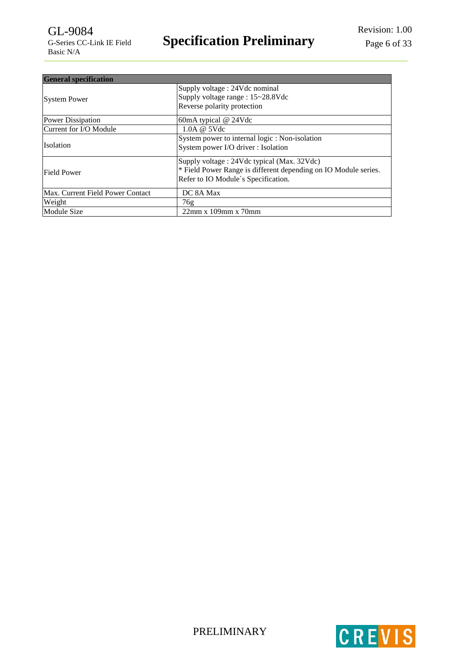| <b>General specification</b>     |                                                                                                                                                      |  |
|----------------------------------|------------------------------------------------------------------------------------------------------------------------------------------------------|--|
| <b>System Power</b>              | Supply voltage: 24Vdc nominal<br>Supply voltage range : 15~28.8Vdc<br>Reverse polarity protection                                                    |  |
| Power Dissipation                | 60mA typical @ 24Vdc                                                                                                                                 |  |
| Current for I/O Module           | 1.0A @ 5Vdc                                                                                                                                          |  |
| <b>Isolation</b>                 | System power to internal logic : Non-isolation<br>System power I/O driver : Isolation                                                                |  |
| Field Power                      | Supply voltage: 24Vdc typical (Max. 32Vdc)<br>* Field Power Range is different depending on IO Module series.<br>Refer to IO Module's Specification. |  |
| Max. Current Field Power Contact | DC 8A Max                                                                                                                                            |  |
| Weight                           | 76g                                                                                                                                                  |  |
| Module Size                      | $22mm \times 109mm \times 70mm$                                                                                                                      |  |



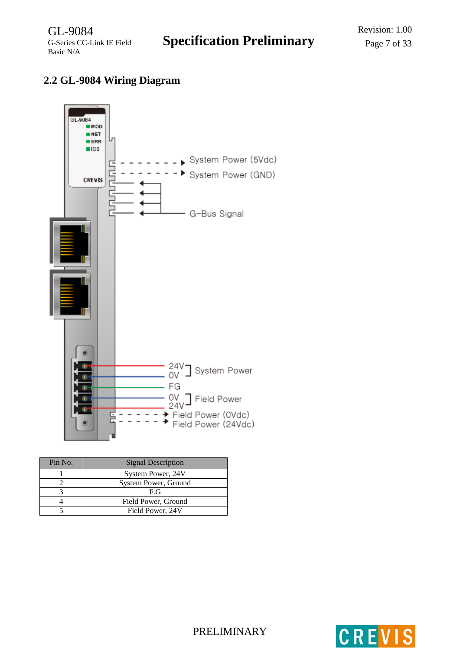# <span id="page-6-0"></span>**2.2 GL-9084 Wiring Diagram**



| Pin No. | <b>Signal Description</b> |
|---------|---------------------------|
|         | System Power, 24V         |
|         | System Power, Ground      |
|         | F.G                       |
|         | Field Power, Ground       |
|         | Field Power, 24V          |

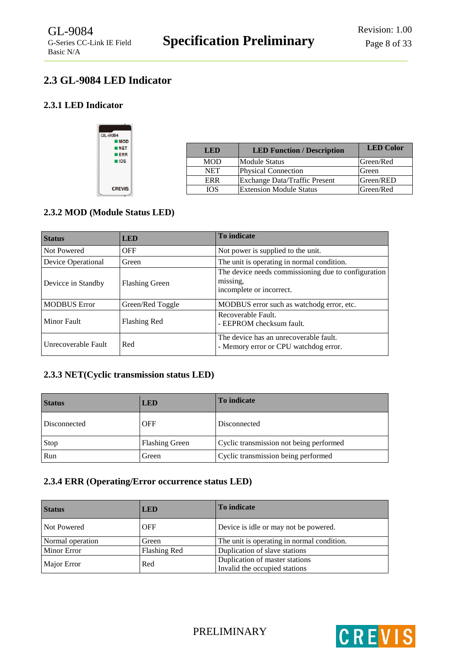# <span id="page-7-0"></span>**2.3 GL-9084 LED Indicator**

# <span id="page-7-1"></span>**2.3.1 LED Indicator**



| LED        | <b>LED Function / Description</b> | <b>LED</b> Color |
|------------|-----------------------------------|------------------|
| <b>MOD</b> | <b>Module Status</b>              | Green/Red        |
| <b>NET</b> | <b>Physical Connection</b>        | Green            |
| ERR        | Exchange Data/Traffic Present     | Green/RED        |
| IOS        | <b>Extension Module Status</b>    | Green/Red        |

# <span id="page-7-2"></span>**2.3.2 MOD (Module Status LED)**

| <b>Status</b>       | <b>LED</b>            | <b>To indicate</b>                                                                          |
|---------------------|-----------------------|---------------------------------------------------------------------------------------------|
| Not Powered         | <b>OFF</b>            | Not power is supplied to the unit.                                                          |
| Device Operational  | Green                 | The unit is operating in normal condition.                                                  |
| Devicce in Standby  | <b>Flashing Green</b> | The device needs commissioning due to configuration<br>missing,<br>incomplete or incorrect. |
| <b>MODBUS Error</b> | Green/Red Toggle      | MODBUS error such as watchodg error, etc.                                                   |
| <b>Minor Fault</b>  | Flashing Red          | Recoverable Fault.<br>- EEPROM checksum fault.                                              |
| Unrecoverable Fault | Red                   | The device has an unrecoverable fault.<br>- Memory error or CPU watchdog error.             |

# <span id="page-7-3"></span>**2.3.3 NET(Cyclic transmission status LED)**

| <b>Status</b> | <b>LED</b>            | To indicate                             |
|---------------|-----------------------|-----------------------------------------|
| Disconnected  | <b>OFF</b>            | Disconnected                            |
| Stop          | <b>Flashing Green</b> | Cyclic transmission not being performed |
| Run           | Green                 | Cyclic transmission being performed     |

# <span id="page-7-4"></span>**2.3.4 ERR (Operating/Error occurrence status LED)**

| <b>Status</b>      | <b>LED</b>   | <b>To indicate</b>                                              |
|--------------------|--------------|-----------------------------------------------------------------|
| Not Powered        | <b>OFF</b>   | Device is idle or may not be powered.                           |
| Normal operation   | Green        | The unit is operating in normal condition.                      |
| <b>Minor Error</b> | Flashing Red | Duplication of slave stations                                   |
| Major Error        | Red          | Duplication of master stations<br>Invalid the occupied stations |

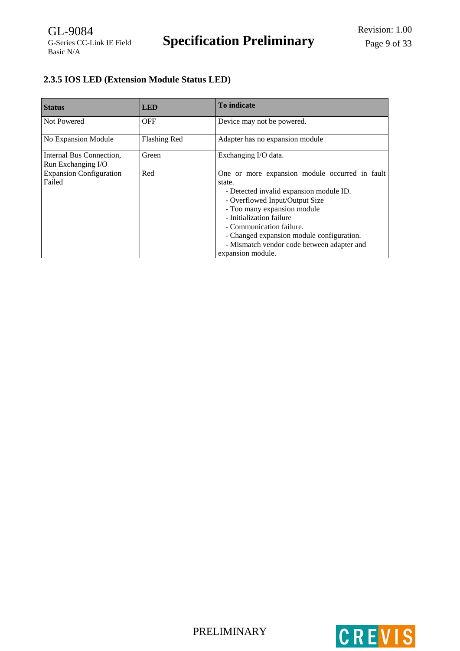# <span id="page-8-0"></span>**2.3.5 IOS LED (Extension Module Status LED)**

| <b>Status</b>                                  | <b>LED</b>          | To indicate                                                                                                                                                                                                                                                                                                                                  |
|------------------------------------------------|---------------------|----------------------------------------------------------------------------------------------------------------------------------------------------------------------------------------------------------------------------------------------------------------------------------------------------------------------------------------------|
| Not Powered                                    | <b>OFF</b>          | Device may not be powered.                                                                                                                                                                                                                                                                                                                   |
| No Expansion Module                            | <b>Flashing Red</b> | Adapter has no expansion module                                                                                                                                                                                                                                                                                                              |
| Internal Bus Connection,<br>Run Exchanging I/O | Green               | Exchanging I/O data.                                                                                                                                                                                                                                                                                                                         |
| <b>Expansion Configuration</b><br>Failed       | Red                 | One or more expansion module occurred in fault<br>state.<br>- Detected invalid expansion module ID.<br>- Overflowed Input/Output Size<br>- Too many expansion module<br>- Initialization failure<br>- Communication failure.<br>- Changed expansion module configuration.<br>- Mismatch vendor code between adapter and<br>expansion module. |



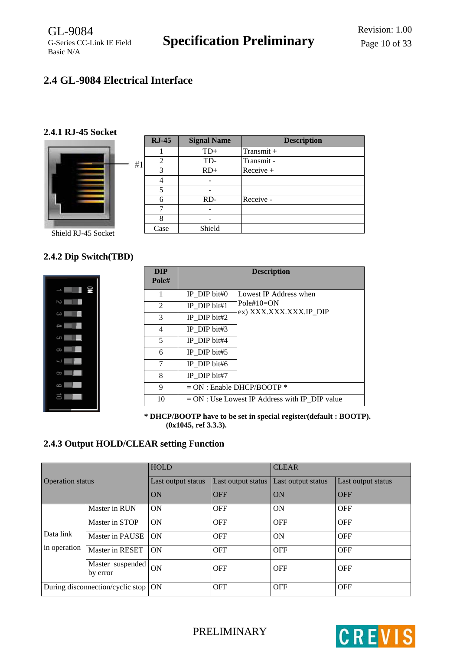# <span id="page-9-0"></span>**2.4 GL-9084 Electrical Interface**

## <span id="page-9-1"></span>**2.4.1 RJ-45 Socket**



|    | $RJ-45$ | <b>Signal Name</b> | <b>Description</b> |
|----|---------|--------------------|--------------------|
|    |         | $TD+$              | Transmit +         |
| 41 | 2       | TD-                | Transmit -         |
|    | 3       | $RD+$              | Receive +          |
|    | 4       |                    |                    |
|    | 5       |                    |                    |
|    | 6       | $RD-$              | Receive -          |
|    | 7       |                    |                    |
|    | 8       |                    |                    |
|    | Case    | Shield             |                    |

Shield RJ-45 Socket

# <span id="page-9-2"></span>**2.4.2 Dip Switch(TBD)**



| <b>DIP</b><br>Pole# |                 | <b>Description</b>                              |
|---------------------|-----------------|-------------------------------------------------|
| 1                   | IP DIP bit# $0$ | Lowest IP Address when                          |
| 2                   | IP DIP bit#1    | $Pole#10=ON$<br>ex) XXX.XXX.XXX.IP DIP          |
| 3                   | IP DIP bit#2    |                                                 |
| 4                   | IP DIP bit#3    |                                                 |
| 5                   | IP DIP bit#4    |                                                 |
| 6                   | IP DIP bit#5    |                                                 |
| 7                   | IP DIP bit# $6$ |                                                 |
| 8                   | IP DIP bit#7    |                                                 |
| 9                   |                 | $= ON :$ Enable DHCP/BOOTP $*$                  |
| 10                  |                 | $= ON: Use Lowest IP Address with IP DIP value$ |

**\* DHCP/BOOTP have to be set in special register(default : BOOTP). (0x1045, ref 3.3.3).**

# <span id="page-9-3"></span>**2.4.3 Output HOLD/CLEAR setting Function**

|                         |                                       | <b>HOLD</b>        |                    | <b>CLEAR</b>       |                    |  |  |  |
|-------------------------|---------------------------------------|--------------------|--------------------|--------------------|--------------------|--|--|--|
| <b>Operation status</b> |                                       | Last output status | Last output status | Last output status | Last output status |  |  |  |
|                         |                                       | ON                 | <b>OFF</b>         | ON                 | <b>OFF</b>         |  |  |  |
|                         | Master in RUN                         | ON                 | <b>OFF</b>         | ON                 | <b>OFF</b>         |  |  |  |
|                         | Master in STOP                        | <b>ON</b>          | <b>OFF</b>         | <b>OFF</b>         | <b>OFF</b>         |  |  |  |
| Data link               | Master in PAUSE                       | <b>ON</b>          | <b>OFF</b>         | <b>ON</b>          | <b>OFF</b>         |  |  |  |
| in operation            | Master in RESET                       | <b>ON</b>          | <b>OFF</b>         | <b>OFF</b>         | <b>OFF</b>         |  |  |  |
|                         | Master suspended<br>by error          | <b>ON</b>          | <b>OFF</b>         | <b>OFF</b>         | <b>OFF</b>         |  |  |  |
|                         | During disconnection/cyclic stop   ON |                    | <b>OFF</b>         | <b>OFF</b>         | <b>OFF</b>         |  |  |  |

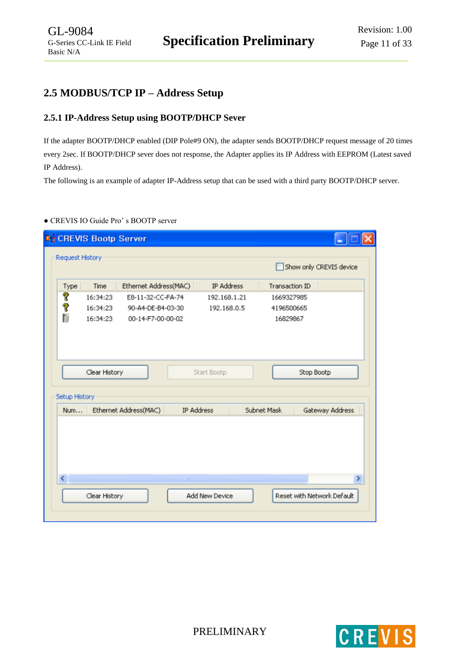# <span id="page-10-0"></span>**2.5 MODBUS/TCP IP – Address Setup**

# <span id="page-10-1"></span>**2.5.1 IP-Address Setup using BOOTP/DHCP Sever**

If the adapter BOOTP/DHCP enabled (DIP Pole#9 ON), the adapter sends BOOTP/DHCP request message of 20 times every 2sec. If BOOTP/DHCP sever does not response, the Adapter applies its IP Address with EEPROM (Latest saved IP Address).

The following is an example of adapter IP-Address setup that can be used with a third party BOOTP/DHCP server.

## **●** CREVIS IO Guide Pro' s BOOTP server

|                              |               |                       |              | Show only CREVIS device |                 |
|------------------------------|---------------|-----------------------|--------------|-------------------------|-----------------|
| Type                         | Time          | Ethernet Address(MAC) | IP Address   | Transaction ID          |                 |
| P                            | 16:34:23      | E8-11-32-CC-FA-74     | 192.168.1.21 | 1669327985              |                 |
| P                            | 16:34:23      | 90-A4-DE-B4-03-30     | 192.168.0.5  | 4196500665              |                 |
| Ħ                            | 16:34:23      | 00-14-F7-00-00-02     |              | 16829867                |                 |
|                              |               |                       |              |                         |                 |
|                              |               |                       |              |                         |                 |
|                              |               |                       |              |                         |                 |
|                              | Clear History |                       | Start Bootp  | Stop Bootp              |                 |
| Setup History                |               |                       |              |                         |                 |
| Num                          |               | Ethernet Address(MAC) | IP Address   | Subnet Mask             | Gateway Address |
|                              |               |                       |              |                         |                 |
|                              |               |                       |              |                         |                 |
|                              |               |                       |              |                         |                 |
|                              |               |                       |              |                         |                 |
|                              |               |                       |              |                         |                 |
| $\left\langle \right\rangle$ |               | <b>TILL</b>           |              |                         |                 |

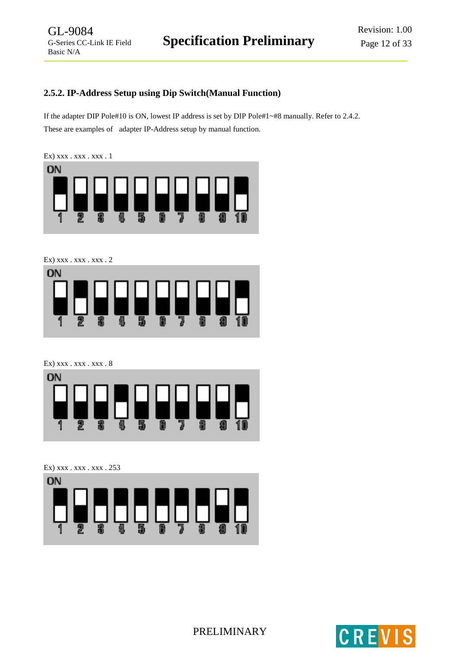# <span id="page-11-0"></span>**2.5.2. IP-Address Setup using Dip Switch(Manual Function)**

If the adapter DIP Pole#10 is ON, lowest IP address is set by DIP Pole#1~#8 manually. Refer to 2.4.2. These are examples of adapter IP-Address setup by manual function.

Ex) xxx . xxx . xxx . 1



Ex) xxx . xxx . xxx . 2



Ex) xxx . xxx . xxx . 8



Ex) xxx . xxx . xxx . 253





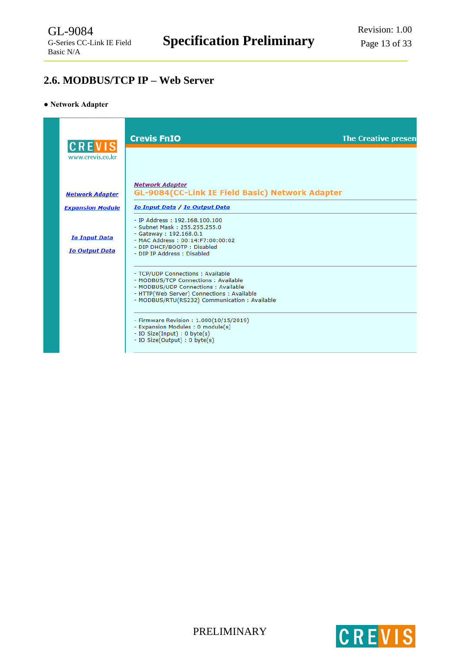# <span id="page-12-0"></span>**2.6. MODBUS/TCP IP – Web Server**

#### **● Network Adapter**

| <b>CREVIS</b>                                 | <b>Crevis FnIO</b>                                                                                                                                                                                             | <b>The Creative presen</b> |
|-----------------------------------------------|----------------------------------------------------------------------------------------------------------------------------------------------------------------------------------------------------------------|----------------------------|
| www.crevis.co.kr                              | <b>Network Adapter</b>                                                                                                                                                                                         |                            |
| <b>Network Adapter</b>                        | <b>GL-9084(CC-Link IE Field Basic) Network Adapter</b>                                                                                                                                                         |                            |
| <b>Expansion Module</b>                       | Io Input Data / Io Output Data                                                                                                                                                                                 |                            |
| <b>Io Input Data</b><br><b>Io Output Data</b> | $-$ IP Address: $192.168.100.100$<br>- Subnet Mask: 255.255.255.0<br>$-$ Gateway: 192.168.0.1<br>- MAC Address: 00:14:F7:00:00:02<br>- DIP DHCP/BOOTP: Disabled<br>- DIP IP Address: Disabled                  |                            |
|                                               | - TCP/UDP Connections : Available<br>- MODBUS/TCP Connections: Available<br>- MODBUS/UDP Connections : Available<br>- HTTP(Web Server) Connections : Available<br>- MODBUS/RTU(RS232) Communication: Available |                            |
|                                               | - Firmware Revision: 1.000(10/15/2019)<br>- Expansion Modules : 0 module(s)<br>- IO Size(Input) : 0 byte(s)<br>- IO Size(Output) : 0 byte(s)                                                                   |                            |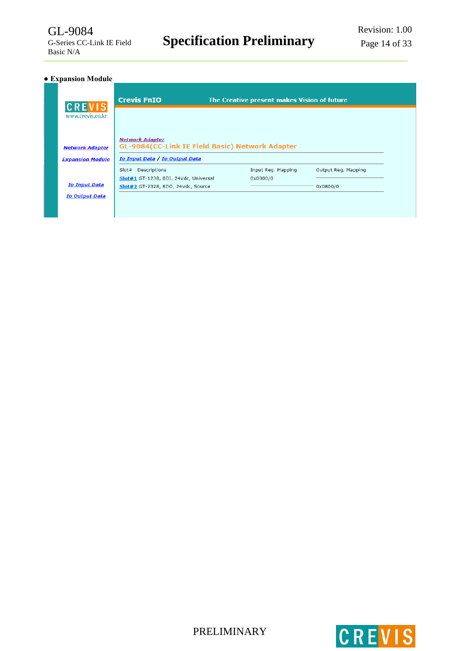# **● Expansion Module**

| <b>Crevis FnIO</b>                                                                                          |                                       |                                                        |                                             |
|-------------------------------------------------------------------------------------------------------------|---------------------------------------|--------------------------------------------------------|---------------------------------------------|
|                                                                                                             |                                       |                                                        |                                             |
| <b>Network Adapter</b>                                                                                      |                                       |                                                        |                                             |
| <b>Descriptions</b><br>Slot#<br>Slot#1 GT-1238, 8DI, 24Vdc, Universal<br>Slot#2 GT-2328, 8DO, 24Vdc, Source | Input Reg. Mapping<br>0x0000/0        | Output Reg. Mapping<br>0x0800/0                        |                                             |
|                                                                                                             | <b>Io Input Data / Io Output Data</b> | <b>GL-9084(CC-Link IE Field Basic) Network Adapter</b> | The Creative present makes Vision of future |



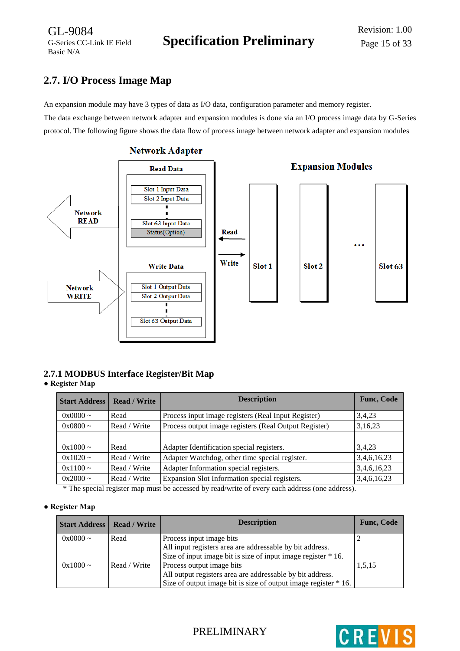# <span id="page-14-0"></span>**2.7. I/O Process Image Map**

GL-9084

Basic N/A

An expansion module may have 3 types of data as I/O data, configuration parameter and memory register. The data exchange between network adapter and expansion modules is done via an I/O process image data by G-Series protocol. The following figure shows the data flow of process image between network adapter and expansion modules



#### **Network Adapter**

# <span id="page-14-1"></span>**2.7.1 MODBUS Interface Register/Bit Map**

## **● Register Map**

| <b>Read / Write</b> | <b>Func, Code</b>                                     |                    |
|---------------------|-------------------------------------------------------|--------------------|
| Read                | Process input image registers (Real Input Register)   | 3,4,23             |
| Read / Write        | Process output image registers (Real Output Register) | 3,16,23            |
|                     |                                                       |                    |
| Read                | Adapter Identification special registers.             | 3,4,23             |
| Read / Write        | Adapter Watchdog, other time special register.        | 3,4,6,16,23        |
| Read / Write        | Adapter Information special registers.                | 3,4,6,16,23        |
| Read / Write        | Expansion Slot Information special registers.         | 3,4,6,16,23        |
|                     |                                                       | <b>Description</b> |

\* The special register map must be accessed by read/write of every each address (one address).

## **● Register Map**

| <b>Start Address   Read / Write</b> |              | <b>Description</b>                                              | <b>Func, Code</b> |
|-------------------------------------|--------------|-----------------------------------------------------------------|-------------------|
| $0x0000 \sim$                       | Read         | Process input image bits                                        |                   |
|                                     |              | All input registers area are addressable by bit address.        |                   |
|                                     |              | Size of input image bit is size of input image register * 16.   |                   |
| $0x1000 \sim$                       | Read / Write | Process output image bits                                       | 1,5,15            |
|                                     |              | All output registers area are addressable by bit address.       |                   |
|                                     |              | Size of output image bit is size of output image register * 16. |                   |

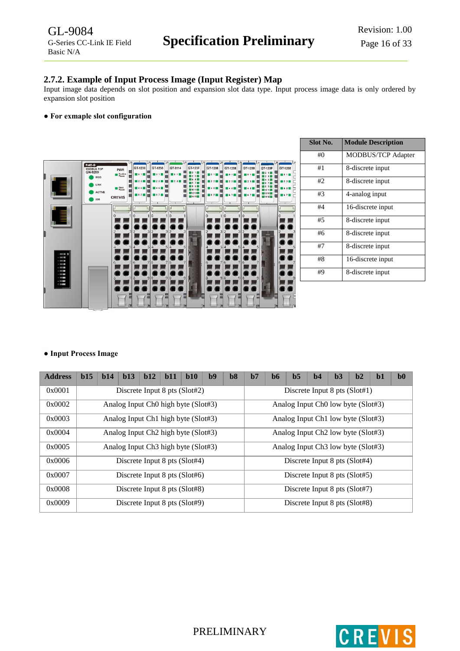## <span id="page-15-0"></span>**2.7.2. Example of Input Process Image (Input Register) Map**

Input image data depends on slot position and expansion slot data type. Input process image data is only ordered by expansion slot position

#### **● For exmaple slot configuration**



| <b>Slot No.</b> | <b>Module Description</b> |
|-----------------|---------------------------|
| #0              | MODBUS/TCP Adapter        |
| #1              | 8-discrete input          |
| #2              | 8-discrete input          |
| #3              | 4-analog input            |
| #4              | 16-discrete input         |
| #5              | 8-discrete input          |
| #6              | 8-discrete input          |
| #7              | 8-discrete input          |
| #8              | 16-discrete input         |
| #9              | 8-discrete input          |

#### **● Input Process Image**

| <b>Address</b> | b15                                 | $b14$ | b13                                             | b12 | $b11$ | b10 | b9 | $b8$                          | $b7$                                           | b6                                             | $b5$ | h <sub>4</sub> | b3 | b2 | $b1$ | $b0$ |  |
|----------------|-------------------------------------|-------|-------------------------------------------------|-----|-------|-----|----|-------------------------------|------------------------------------------------|------------------------------------------------|------|----------------|----|----|------|------|--|
| 0x0001         |                                     |       | Discrete Input 8 pts (Slot#2)                   |     |       |     |    | Discrete Input 8 pts (Slot#1) |                                                |                                                |      |                |    |    |      |      |  |
| 0x0002         | Analog Input Ch0 high byte (Slot#3) |       |                                                 |     |       |     |    |                               |                                                | Analog Input Ch <sub>0</sub> low byte (Slot#3) |      |                |    |    |      |      |  |
| 0x0003         | Analog Input Ch1 high byte (Slot#3) |       |                                                 |     |       |     |    |                               |                                                | Analog Input Ch1 low byte (Slot#3)             |      |                |    |    |      |      |  |
| 0x0004         |                                     |       | Analog Input Ch <sub>2</sub> high byte (Slot#3) |     |       |     |    |                               | Analog Input Ch <sub>2</sub> low byte (Slot#3) |                                                |      |                |    |    |      |      |  |
| 0x0005         |                                     |       | Analog Input Ch <sub>3</sub> high byte (Slot#3) |     |       |     |    |                               | Analog Input Ch <sub>3</sub> low byte (Slot#3) |                                                |      |                |    |    |      |      |  |
| 0x0006         |                                     |       | Discrete Input 8 pts (Slot#4)                   |     |       |     |    |                               | Discrete Input $8$ pts (Slot#4)                |                                                |      |                |    |    |      |      |  |
| 0x0007         |                                     |       | Discrete Input 8 pts (Slot#6)                   |     |       |     |    |                               | Discrete Input $8$ pts (Slot#5)                |                                                |      |                |    |    |      |      |  |
| 0x0008         |                                     |       | Discrete Input 8 pts (Slot#8)                   |     |       |     |    |                               | Discrete Input 8 pts (Slot#7)                  |                                                |      |                |    |    |      |      |  |
| 0x0009         |                                     |       | Discrete Input 8 pts (Slot#9)                   |     |       |     |    |                               | Discrete Input 8 pts (Slot#8)                  |                                                |      |                |    |    |      |      |  |

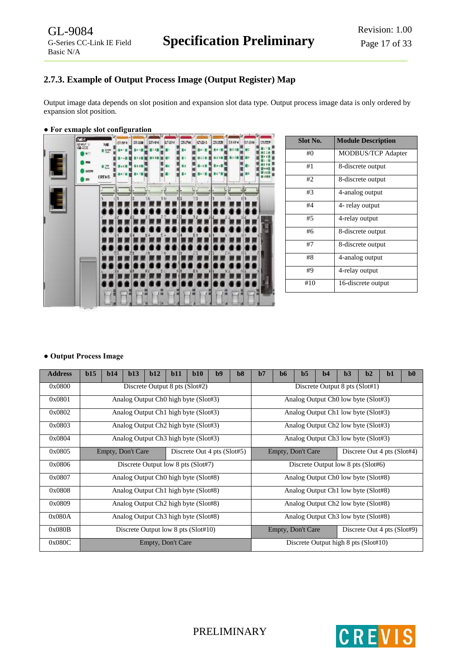# <span id="page-16-0"></span>**2.7.3. Example of Output Process Image (Output Register) Map**

Output image data depends on slot position and expansion slot data type. Output process image data is only ordered by expansion slot position.

#### **● For exmaple slot configuration**



| Slot No. | <b>Module Description</b> |
|----------|---------------------------|
| #()      | <b>MODBUS/TCP Adapter</b> |
| #1       | 8-discrete output         |
| #2       | 8-discrete output         |
| #3       | 4-analog output           |
| #4       | 4- relay output           |
| #5       | 4-relay output            |
| #6       | 8-discrete output         |
| #7       | 8-discrete output         |
| #8       | 4-analog output           |
| #9       | 4-relay output            |
| #10      | 16-discrete output        |

#### **● Output Process Image**

| <b>Address</b> | b15                                              | b14 | b13                                              | b12 | b11               | b10 | b9                          | b8                             | $b7$                                             | $\bf{b6}$                           | b <sub>5</sub>                                  | b4 | b3 | h2                          | $b1$ | $b0$ |
|----------------|--------------------------------------------------|-----|--------------------------------------------------|-----|-------------------|-----|-----------------------------|--------------------------------|--------------------------------------------------|-------------------------------------|-------------------------------------------------|----|----|-----------------------------|------|------|
| 0x0800         |                                                  |     | Discrete Output 8 pts (Slot#2)                   |     |                   |     |                             | Discrete Output 8 pts (Slot#1) |                                                  |                                     |                                                 |    |    |                             |      |      |
| 0x0801         | Analog Output Ch <sub>0</sub> high byte (Slot#3) |     |                                                  |     |                   |     |                             |                                |                                                  | Analog Output Ch0 low byte (Slot#3) |                                                 |    |    |                             |      |      |
| 0x0802         |                                                  |     | Analog Output Ch1 high byte (Slot#3)             |     |                   |     |                             |                                | Analog Output Ch1 low byte (Slot#3)              |                                     |                                                 |    |    |                             |      |      |
| 0x0803         |                                                  |     | Analog Output Ch <sub>2</sub> high byte (Slot#3) |     |                   |     |                             |                                |                                                  |                                     | Analog Output Ch <sub>2</sub> low byte (Slot#3) |    |    |                             |      |      |
| 0x0804         |                                                  |     | Analog Output Ch <sub>3</sub> high byte (Slot#3) |     |                   |     |                             |                                |                                                  |                                     | Analog Output Ch <sub>3</sub> low byte (Slot#3) |    |    |                             |      |      |
| 0x0805         |                                                  |     | Empty, Don't Care                                |     |                   |     | Discrete Out 4 pts (Slot#5) |                                | Empty, Don't Care<br>Discrete Out 4 pts (Slot#4) |                                     |                                                 |    |    |                             |      |      |
| 0x0806         |                                                  |     | Discrete Output low 8 pts (Slot#7)               |     |                   |     |                             |                                | Discrete Output low 8 pts (Slot#6)               |                                     |                                                 |    |    |                             |      |      |
| 0x0807         |                                                  |     | Analog Output Ch <sub>0</sub> high byte (Slot#8) |     |                   |     |                             |                                |                                                  |                                     | Analog Output Ch <sub>0</sub> low byte (Slot#8) |    |    |                             |      |      |
| 0x0808         |                                                  |     | Analog Output Ch1 high byte (Slot#8)             |     |                   |     |                             |                                | Analog Output Ch1 low byte (Slot#8)              |                                     |                                                 |    |    |                             |      |      |
| 0x0809         |                                                  |     | Analog Output Ch <sub>2</sub> high byte (Slot#8) |     |                   |     |                             |                                | Analog Output Ch <sub>2</sub> low byte (Slot#8)  |                                     |                                                 |    |    |                             |      |      |
| 0x080A         |                                                  |     | Analog Output Ch <sub>3</sub> high byte (Slot#8) |     |                   |     |                             |                                | Analog Output Ch <sub>3</sub> low byte (Slot#8)  |                                     |                                                 |    |    |                             |      |      |
| 0x080B         |                                                  |     | Discrete Output low 8 pts (Slot#10)              |     |                   |     |                             |                                |                                                  |                                     | Empty, Don't Care                               |    |    | Discrete Out 4 pts (Slot#9) |      |      |
| 0x080C         |                                                  |     |                                                  |     | Empty, Don't Care |     |                             |                                | Discrete Output high 8 pts (Slot#10)             |                                     |                                                 |    |    |                             |      |      |

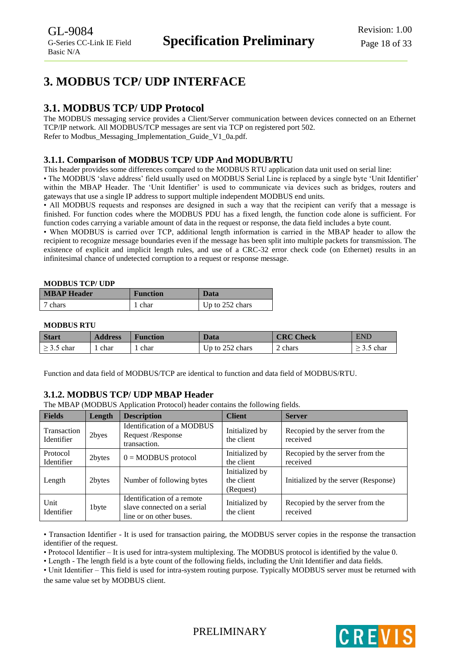# <span id="page-17-0"></span>**3. MODBUS TCP/ UDP INTERFACE**

# <span id="page-17-1"></span>**3.1. MODBUS TCP/ UDP Protocol**

The MODBUS messaging service provides a Client/Server communication between devices connected on an Ethernet TCP/IP network. All MODBUS/TCP messages are sent via TCP on registered port 502. Refer to Modbus Messaging Implementation Guide V1 0a.pdf.

# <span id="page-17-2"></span>**3.1.1. Comparison of MODBUS TCP/ UDP And MODUB/RTU**

This header provides some differences compared to the MODBUS RTU application data unit used on serial line:

• The MODBUS 'slave address' field usually used on MODBUS Serial Line is replaced by a single byte 'Unit Identifier' within the MBAP Header. The 'Unit Identifier' is used to communicate via devices such as bridges, routers and gateways that use a single IP address to support multiple independent MODBUS end units.

• All MODBUS requests and responses are designed in such a way that the recipient can verify that a message is finished. For function codes where the MODBUS PDU has a fixed length, the function code alone is sufficient. For function codes carrying a variable amount of data in the request or response, the data field includes a byte count.

• When MODBUS is carried over TCP, additional length information is carried in the MBAP header to allow the recipient to recognize message boundaries even if the message has been split into multiple packets for transmission. The existence of explicit and implicit length rules, and use of a CRC-32 error check code (on Ethernet) results in an infinitesimal chance of undetected corruption to a request or response message.

#### **MODBUS TCP/ UDP**

| <b>MBAP Header</b> | <b>Function</b> | Data                    |
|--------------------|-----------------|-------------------------|
| 7 chars            | 1 char          | $\vert$ Up to 252 chars |

#### **MODBUS RTU**

| <b>Start</b>    | <b>Address</b> | <b>Function</b> | Data            | <b>CRC Check</b> | <b>END</b> |
|-----------------|----------------|-----------------|-----------------|------------------|------------|
| $\geq$ 3.5 char | char           | char            | Up to 252 chars | 2 chars          | char       |

Function and data field of MODBUS/TCP are identical to function and data field of MODBUS/RTU.

## <span id="page-17-3"></span>**3.1.2. MODBUS TCP/ UDP MBAP Header**

The MBAP (MODBUS Application Protocol) header contains the following fields.

| <b>Fields</b>             | Length | <b>Description</b>                                                                   | <b>Client</b>                             | <b>Server</b>                               |
|---------------------------|--------|--------------------------------------------------------------------------------------|-------------------------------------------|---------------------------------------------|
| Transaction<br>Identifier | 2byes  | Identification of a MODBUS<br>Request / Response<br>transaction.                     | Initialized by<br>the client              | Recopied by the server from the<br>received |
| Protocol<br>Identifier    | 2bytes | $0 = MODBUS$ protocol                                                                | Initialized by<br>the client              | Recopied by the server from the<br>received |
| Length                    | 2bytes | Number of following bytes                                                            | Initialized by<br>the client<br>(Request) | Initialized by the server (Response)        |
| Unit<br>Identifier        | 1byte  | Identification of a remote<br>slave connected on a serial<br>line or on other buses. | Initialized by<br>the client              | Recopied by the server from the<br>received |

• Transaction Identifier - It is used for transaction pairing, the MODBUS server copies in the response the transaction identifier of the request.

• Protocol Identifier – It is used for intra-system multiplexing. The MODBUS protocol is identified by the value 0.

• Length - The length field is a byte count of the following fields, including the Unit Identifier and data fields.

• Unit Identifier – This field is used for intra-system routing purpose. Typically MODBUS server must be returned with the same value set by MODBUS client.

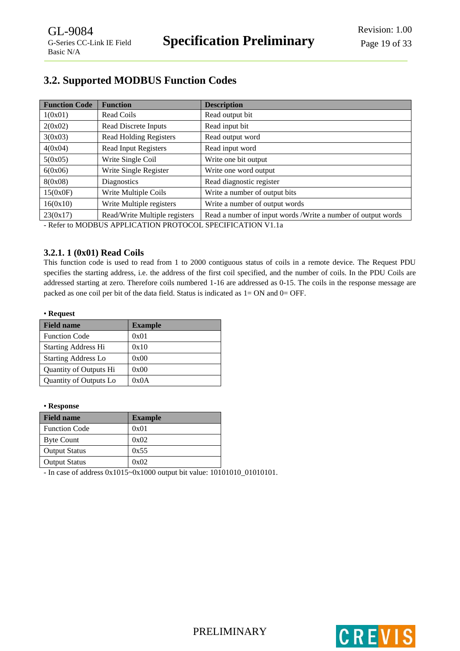# <span id="page-18-0"></span>**3.2. Supported MODBUS Function Codes**

| <b>Function Code</b> | <b>Function</b>               | <b>Description</b>                                           |
|----------------------|-------------------------------|--------------------------------------------------------------|
| 1(0x01)              | Read Coils                    | Read output bit                                              |
| 2(0x02)              | Read Discrete Inputs          | Read input bit                                               |
| 3(0x03)              | <b>Read Holding Registers</b> | Read output word                                             |
| 4(0x04)              | <b>Read Input Registers</b>   | Read input word                                              |
| 5(0x05)              | Write Single Coil             | Write one bit output                                         |
| 6(0x06)              | Write Single Register         | Write one word output                                        |
| 8(0x08)              | Diagnostics                   | Read diagnostic register                                     |
| 15(0x0F)             | Write Multiple Coils          | Write a number of output bits                                |
| 16(0x10)             | Write Multiple registers      | Write a number of output words                               |
| 23(0x17)             | Read/Write Multiple registers | Read a number of input words /Write a number of output words |

- Refer to MODBUS APPLICATION PROTOCOL SPECIFICATION V1.1a

## <span id="page-18-1"></span>**3.2.1. 1 (0x01) Read Coils**

This function code is used to read from 1 to 2000 contiguous status of coils in a remote device. The Request PDU specifies the starting address, i.e. the address of the first coil specified, and the number of coils. In the PDU Coils are addressed starting at zero. Therefore coils numbered 1-16 are addressed as 0-15. The coils in the response message are packed as one coil per bit of the data field. Status is indicated as  $1=ON$  and  $0=OFF$ .

#### • **Request**

| <b>Field name</b>          | <b>Example</b> |
|----------------------------|----------------|
| <b>Function Code</b>       | 0x01           |
| <b>Starting Address Hi</b> | 0x10           |
| <b>Starting Address Lo</b> | 0x00           |
| Quantity of Outputs Hi     | 0x00           |
| Quantity of Outputs Lo     | 0x0A           |

#### • **Response**

| <b>Field name</b>    | <b>Example</b> |
|----------------------|----------------|
| <b>Function Code</b> | 0x01           |
| <b>Byte Count</b>    | 0x02           |
| <b>Output Status</b> | 0x55           |
| <b>Output Status</b> | 0x02           |

- In case of address 0x1015~0x1000 output bit value: 10101010\_01010101.

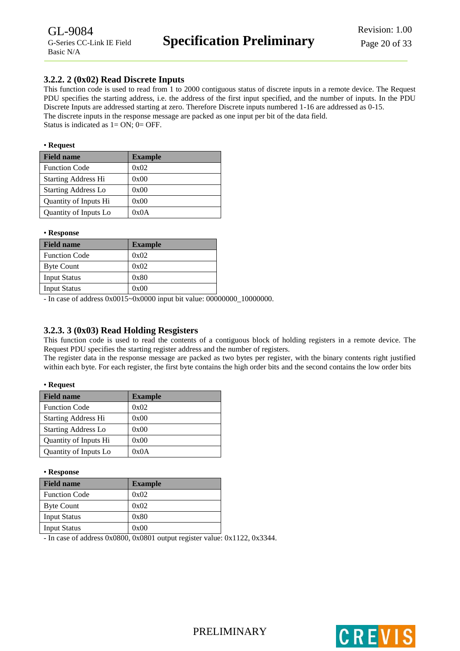## <span id="page-19-0"></span>**3.2.2. 2 (0x02) Read Discrete Inputs**

This function code is used to read from 1 to 2000 contiguous status of discrete inputs in a remote device. The Request PDU specifies the starting address, i.e. the address of the first input specified, and the number of inputs. In the PDU Discrete Inputs are addressed starting at zero. Therefore Discrete inputs numbered 1-16 are addressed as 0-15. The discrete inputs in the response message are packed as one input per bit of the data field. Status is indicated as  $1 = ON$ ;  $0 = OFF$ .

#### • **Request**

| <b>Field name</b>          | <b>Example</b> |
|----------------------------|----------------|
| <b>Function Code</b>       | 0x02           |
| <b>Starting Address Hi</b> | 0x00           |
| <b>Starting Address Lo</b> | 0x00           |
| Quantity of Inputs Hi      | 0x00           |
| Quantity of Inputs Lo      | 0x0A           |

#### • **Response**

| <b>Field name</b>    | <b>Example</b> |
|----------------------|----------------|
| <b>Function Code</b> | 0x02           |
| <b>Byte Count</b>    | 0x02           |
| <b>Input Status</b>  | 0x80           |
| <b>Input Status</b>  | 0x00           |

- In case of address 0x0015~0x0000 input bit value: 00000000\_10000000.

# <span id="page-19-1"></span>**3.2.3. 3 (0x03) Read Holding Resgisters**

This function code is used to read the contents of a contiguous block of holding registers in a remote device. The Request PDU specifies the starting register address and the number of registers.

The register data in the response message are packed as two bytes per register, with the binary contents right justified within each byte. For each register, the first byte contains the high order bits and the second contains the low order bits

#### • **Request**

| <b>Field name</b>          | <b>Example</b> |
|----------------------------|----------------|
| <b>Function Code</b>       | 0x02           |
| <b>Starting Address Hi</b> | 0x00           |
| <b>Starting Address Lo</b> | 0x00           |
| Quantity of Inputs Hi      | 0x00           |
| Quantity of Inputs Lo      | 0x0A           |

#### • **Response**

| <b>Field name</b>    | <b>Example</b> |
|----------------------|----------------|
| <b>Function Code</b> | 0x02           |
| <b>Byte Count</b>    | 0x02           |
| <b>Input Status</b>  | 0x80           |
| <b>Input Status</b>  | 0x00           |

- In case of address 0x0800, 0x0801 output register value: 0x1122, 0x3344.

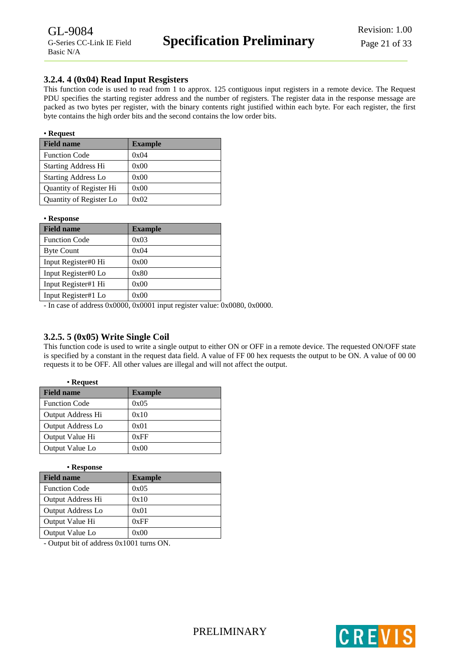## <span id="page-20-0"></span>**3.2.4. 4 (0x04) Read Input Resgisters**

This function code is used to read from 1 to approx. 125 contiguous input registers in a remote device. The Request PDU specifies the starting register address and the number of registers. The register data in the response message are packed as two bytes per register, with the binary contents right justified within each byte. For each register, the first byte contains the high order bits and the second contains the low order bits.

#### • **Request**

| <b>Field name</b>          | <b>Example</b> |
|----------------------------|----------------|
| <b>Function Code</b>       | 0x04           |
| <b>Starting Address Hi</b> | 0x00           |
| <b>Starting Address Lo</b> | 0x00           |
| Quantity of Register Hi    | 0x00           |
| Quantity of Register Lo    | 0x02           |

• **Response**

| <b>Field name</b>    | <b>Example</b> |
|----------------------|----------------|
| <b>Function Code</b> | 0x03           |
| <b>Byte Count</b>    | 0x04           |
| Input Register#0 Hi  | 0x00           |
| Input Register#0 Lo  | 0x80           |
| Input Register#1 Hi  | 0x00           |
| Input Register#1 Lo  | 0x00           |

- In case of address 0x0000, 0x0001 input register value: 0x0080, 0x0000.

# <span id="page-20-1"></span>**3.2.5. 5 (0x05) Write Single Coil**

This function code is used to write a single output to either ON or OFF in a remote device. The requested ON/OFF state is specified by a constant in the request data field. A value of FF 00 hex requests the output to be ON. A value of 00 00 requests it to be OFF. All other values are illegal and will not affect the output.

| • Request                |                |
|--------------------------|----------------|
| <b>Field name</b>        | <b>Example</b> |
| <b>Function Code</b>     | 0x05           |
| Output Address Hi        | 0x10           |
| <b>Output Address Lo</b> | 0x01           |
| Output Value Hi          | 0xFF           |
| Output Value Lo          | 0x00           |

| <b>Example</b> |
|----------------|
| 0x05           |
| 0x10           |
| 0x01           |
| 0xFF           |
| 0x00           |
|                |

- Output bit of address 0x1001 turns ON.

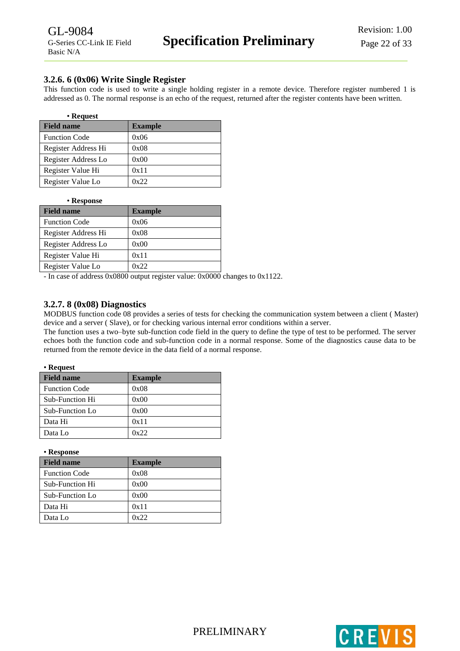## <span id="page-21-0"></span>**3.2.6. 6 (0x06) Write Single Register**

This function code is used to write a single holding register in a remote device. Therefore register numbered 1 is addressed as 0. The normal response is an echo of the request, returned after the register contents have been written.

| • Request            |                |
|----------------------|----------------|
| <b>Field name</b>    | <b>Example</b> |
| <b>Function Code</b> | 0x06           |
| Register Address Hi  | 0x08           |
| Register Address Lo  | 0x00           |
| Register Value Hi    | 0x11           |
| Register Value Lo    | 0x22           |

#### • **Response**

| <b>Field name</b>    | <b>Example</b> |
|----------------------|----------------|
| <b>Function Code</b> | 0x06           |
| Register Address Hi  | 0x08           |
| Register Address Lo  | 0x00           |
| Register Value Hi    | 0x11           |
| Register Value Lo    | 0x22           |

- In case of address 0x0800 output register value: 0x0000 changes to 0x1122.

## <span id="page-21-1"></span>**3.2.7. 8 (0x08) Diagnostics**

MODBUS function code 08 provides a series of tests for checking the communication system between a client ( Master) device and a server ( Slave), or for checking various internal error conditions within a server.

The function uses a two–byte sub-function code field in the query to define the type of test to be performed. The server echoes both the function code and sub-function code in a normal response. Some of the diagnostics cause data to be returned from the remote device in the data field of a normal response.

| keaues |
|--------|
|        |

| <b>Field name</b>    | <b>Example</b> |
|----------------------|----------------|
| <b>Function Code</b> | 0x08           |
| Sub-Function Hi      | 0x00           |
| Sub-Function Lo      | 0x00           |
| Data Hi              | 0x11           |
| Data Lo              | 0x22           |

• **Response**

| <b>Field name</b>    | <b>Example</b> |
|----------------------|----------------|
| <b>Function Code</b> | 0x08           |
| Sub-Function Hi      | 0x00           |
| Sub-Function Lo      | 0x00           |
| Data Hi              | 0x11           |
| Data Lo              | 0x22           |

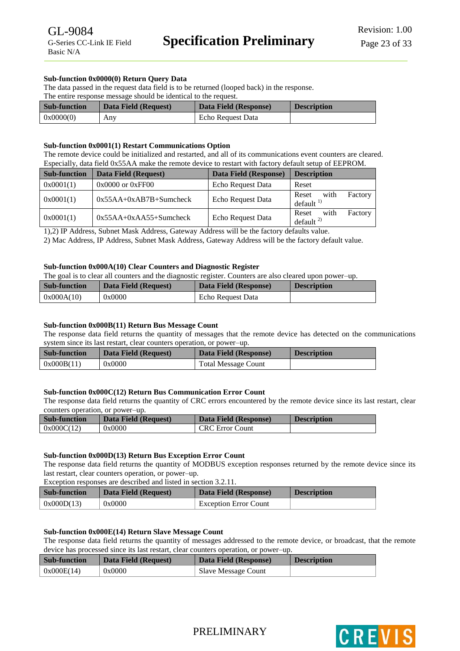#### **Sub-function 0x0000(0) Return Query Data**

The data passed in the request data field is to be returned (looped back) in the response.

The entire response message should be identical to the request.

| <b>Sub-function</b> | Data Field (Request) | Data Field (Response) | <b>Description</b> |
|---------------------|----------------------|-----------------------|--------------------|
| 0x0000(0)           | Any                  | Echo Request Data     |                    |

#### **Sub-function 0x0001(1) Restart Communications Option**

The remote device could be initialized and restarted, and all of its communications event counters are cleared. Especially, data field 0x55AA make the remote device to restart with factory default setup of EEPROM.

| <b>Sub-function</b> | Data Field (Request)     | Data Field (Response) | <b>Description</b>                               |
|---------------------|--------------------------|-----------------------|--------------------------------------------------|
| 0x0001(1)           | $0x0000$ or $0xFF00$     | Echo Request Data     | Reset                                            |
| 0x0001(1)           | $0x55AA+0xAB7B+Sumcheck$ | Echo Request Data     | with<br>Factory<br>Reset<br>default <sup>1</sup> |
| 0x0001(1)           | $0x55AA+0xAA55+Sumcheck$ | Echo Request Data     | with<br>Factory<br>Reset<br>default <sup>2</sup> |

1),2) IP Address, Subnet Mask Address, Gateway Address will be the factory defaults value.

2) Mac Address, IP Address, Subnet Mask Address, Gateway Address will be the factory default value.

#### **Sub-function 0x000A(10) Clear Counters and Diagnostic Register**

The goal is to clear all counters and the diagnostic register. Counters are also cleared upon power–up.

| <b>Sub-function</b> | Data Field (Request) | Data Field (Response) | <b>Description</b> |
|---------------------|----------------------|-----------------------|--------------------|
| 0x000A(10)          | 0x0000               | Echo Request Data     |                    |

#### **Sub-function 0x000B(11) Return Bus Message Count**

The response data field returns the quantity of messages that the remote device has detected on the communications system since its last restart, clear counters operation, or power–up.

| <b>Sub-function</b> | Data Field (Request) | Data Field (Response)      | <b>Description</b> |
|---------------------|----------------------|----------------------------|--------------------|
| 0x000B(11)          | 0x0000               | <b>Total Message Count</b> |                    |

#### **Sub-function 0x000C(12) Return Bus Communication Error Count**

The response data field returns the quantity of CRC errors encountered by the remote device since its last restart, clear counters operation, or power–up.

| <b>Sub-function</b> | Data Field (Request) | Data Field (Response)  | <b>Description</b> |
|---------------------|----------------------|------------------------|--------------------|
| 0x000C(12)          | 0x0000               | <b>CRC</b> Error Count |                    |

#### **Sub-function 0x000D(13) Return Bus Exception Error Count**

The response data field returns the quantity of MODBUS exception responses returned by the remote device since its last restart, clear counters operation, or power–up.

Exception responses are described and listed in section 3.2.11.

| <b>Sub-function</b> | Data Field (Request) | Data Field (Response)        | <b>Description</b> |
|---------------------|----------------------|------------------------------|--------------------|
| 0x000D(13)          | 0x0000               | <b>Exception Error Count</b> |                    |

#### **Sub-function 0x000E(14) Return Slave Message Count**

The response data field returns the quantity of messages addressed to the remote device, or broadcast, that the remote device has processed since its last restart, clear counters operation, or power–up.

| <b>Sub-function</b> | Data Field (Request) | Data Field (Response) | <b>Description</b> |
|---------------------|----------------------|-----------------------|--------------------|
| 0x000E(14)          | 0x0000               | Slave Message Count   |                    |

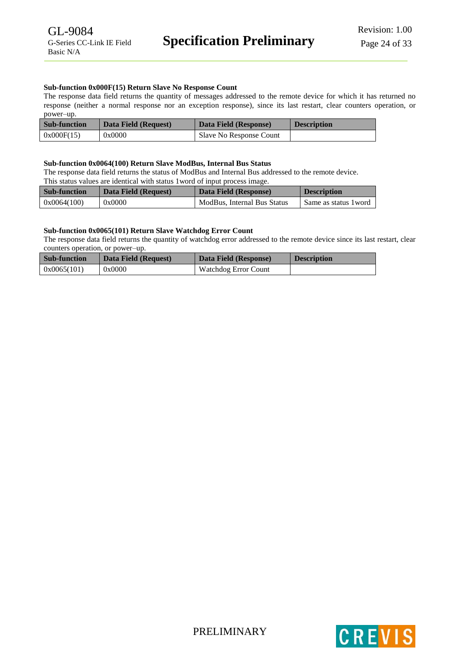#### **Sub-function 0x000F(15) Return Slave No Response Count**

The response data field returns the quantity of messages addressed to the remote device for which it has returned no response (neither a normal response nor an exception response), since its last restart, clear counters operation, or power–up.

| <b>Sub-function</b> | Data Field (Request) | Data Field (Response)   | <b>Description</b> |
|---------------------|----------------------|-------------------------|--------------------|
| 0x000F(15)          | 0x0000               | Slave No Response Count |                    |

#### **Sub-function 0x0064(100) Return Slave ModBus, Internal Bus Status**

The response data field returns the status of ModBus and Internal Bus addressed to the remote device. This status values are identical with status 1word of input process image.

| <b>Sub-function</b> | Data Field (Request) | Data Field (Response)       | <b>Description</b>    |
|---------------------|----------------------|-----------------------------|-----------------------|
| 0x0064(100)         | 0x0000               | ModBus, Internal Bus Status | Same as status 1 word |

#### **Sub-function 0x0065(101) Return Slave Watchdog Error Count**

The response data field returns the quantity of watchdog error addressed to the remote device since its last restart, clear counters operation, or power–up.

| <b>Sub-function</b> | Data Field (Request) | Data Field (Response) | <b>Description</b> |
|---------------------|----------------------|-----------------------|--------------------|
| 0x0065(101)         | 0x0000               | Watchdog Error Count  |                    |



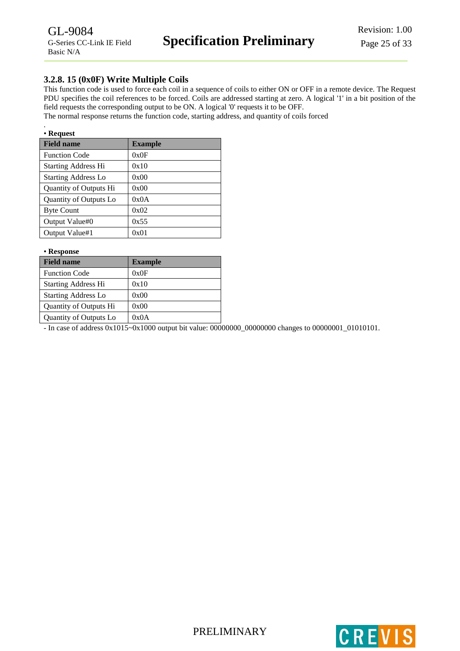# <span id="page-24-0"></span>**3.2.8. 15 (0x0F) Write Multiple Coils**

This function code is used to force each coil in a sequence of coils to either ON or OFF in a remote device. The Request PDU specifies the coil references to be forced. Coils are addressed starting at zero. A logical '1' in a bit position of the field requests the corresponding output to be ON. A logical '0' requests it to be OFF.

The normal response returns the function code, starting address, and quantity of coils forced

| • Request |
|-----------|

| <b>Field name</b>          | <b>Example</b> |
|----------------------------|----------------|
| <b>Function Code</b>       | 0x0F           |
| <b>Starting Address Hi</b> | 0x10           |
| <b>Starting Address Lo</b> | 0x00           |
| Quantity of Outputs Hi     | 0x00           |
| Quantity of Outputs Lo     | 0x0A           |
| <b>Byte Count</b>          | 0x02           |
| Output Value#0             | 0x55           |
| Output Value#1             | 0x01           |

| • Response                 |                |  |
|----------------------------|----------------|--|
| <b>Field name</b>          | <b>Example</b> |  |
| <b>Function Code</b>       | 0x0F           |  |
| <b>Starting Address Hi</b> | 0x10           |  |
| <b>Starting Address Lo</b> | 0x00           |  |
| Quantity of Outputs Hi     | 0x00           |  |
| Quantity of Outputs Lo     | 0x0A           |  |

- In case of address 0x1015~0x1000 output bit value: 00000000\_00000000 changes to 00000001\_01010101.

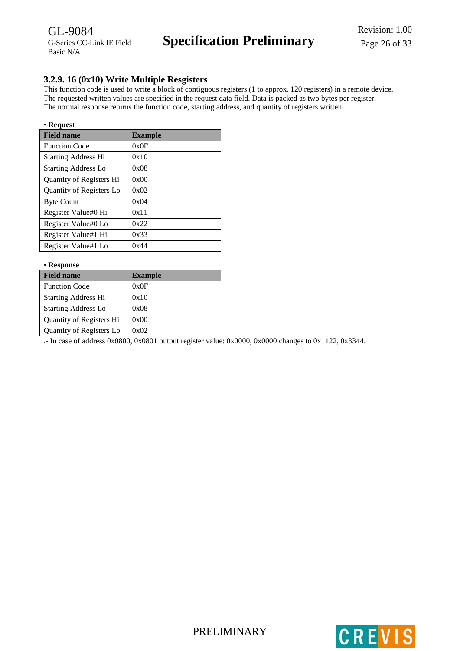## <span id="page-25-0"></span>**3.2.9. 16 (0x10) Write Multiple Resgisters**

This function code is used to write a block of contiguous registers (1 to approx. 120 registers) in a remote device. The requested written values are specified in the request data field. Data is packed as two bytes per register. The normal response returns the function code, starting address, and quantity of registers written.

#### • **Request**

| <b>Field name</b>          | <b>Example</b> |
|----------------------------|----------------|
| <b>Function Code</b>       | 0x0F           |
| <b>Starting Address Hi</b> | 0x10           |
| <b>Starting Address Lo</b> | 0x08           |
| Quantity of Registers Hi   | 0x00           |
| Quantity of Registers Lo   | 0x02           |
| <b>Byte Count</b>          | 0x04           |
| Register Value#0 Hi        | 0x11           |
| Register Value#0 Lo        | 0x22           |
| Register Value#1 Hi        | 0x33           |
| Register Value#1 Lo        | 0x44           |

#### • **Response**

| <b>Field name</b>          | <b>Example</b> |
|----------------------------|----------------|
| <b>Function Code</b>       | 0x0F           |
| <b>Starting Address Hi</b> | 0x10           |
| <b>Starting Address Lo</b> | 0x08           |
| Quantity of Registers Hi   | 0x00           |
| Quantity of Registers Lo   | 0x02           |
|                            |                |

.- In case of address 0x0800, 0x0801 output register value: 0x0000, 0x0000 changes to 0x1122, 0x3344.



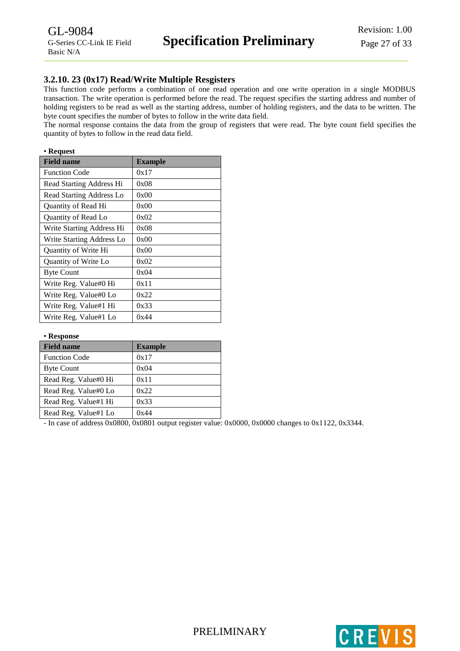## <span id="page-26-0"></span>**3.2.10. 23 (0x17) Read/Write Multiple Resgisters**

This function code performs a combination of one read operation and one write operation in a single MODBUS transaction. The write operation is performed before the read. The request specifies the starting address and number of holding registers to be read as well as the starting address, number of holding registers, and the data to be written. The byte count specifies the number of bytes to follow in the write data field.

The normal response contains the data from the group of registers that were read. The byte count field specifies the quantity of bytes to follow in the read data field.

#### • **Request**

| <b>Field name</b>         | <b>Example</b> |
|---------------------------|----------------|
| <b>Function Code</b>      | 0x17           |
| Read Starting Address Hi  | 0x08           |
| Read Starting Address Lo  | 0x00           |
| Quantity of Read Hi       | 0x00           |
| Quantity of Read Lo       | 0x02           |
| Write Starting Address Hi | 0x08           |
| Write Starting Address Lo | 0x00           |
| Quantity of Write Hi      | 0x00           |
| Quantity of Write Lo      | 0x02           |
| <b>Byte Count</b>         | 0x04           |
| Write Reg. Value#0 Hi     | 0x11           |
| Write Reg. Value#0 Lo     | 0x22           |
| Write Reg. Value#1 Hi     | 0x33           |
| Write Reg. Value#1 Lo     | 0x44           |

#### • **Response**

| <b>Field name</b>    | <b>Example</b> |
|----------------------|----------------|
| <b>Function Code</b> | 0x17           |
| <b>Byte Count</b>    | 0x04           |
| Read Reg. Value#0 Hi | 0x11           |
| Read Reg. Value#0 Lo | 0x22           |
| Read Reg. Value#1 Hi | 0x33           |
| Read Reg. Value#1 Lo | 0x44           |

- In case of address 0x0800, 0x0801 output register value: 0x0000, 0x0000 changes to 0x1122, 0x3344.

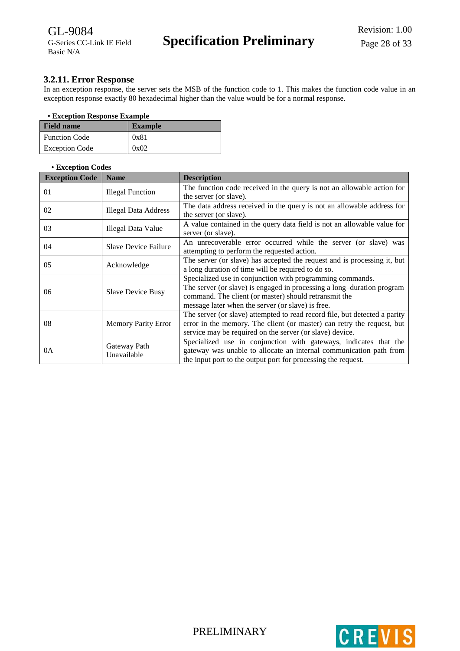## <span id="page-27-0"></span>**3.2.11. Error Response**

In an exception response, the server sets the MSB of the function code to 1. This makes the function code value in an exception response exactly 80 hexadecimal higher than the value would be for a normal response.

#### • **Exception Response Example**

| <b>Field name</b>     | <b>Example</b> |
|-----------------------|----------------|
| <b>Function Code</b>  | 0x81           |
| <b>Exception Code</b> | 0x02           |

#### • **Exception Codes**

| <b>Exception Code</b> | <b>Name</b>                                                                                                                                   | <b>Description</b>                                                                                                                                                                                                                                |  |  |  |
|-----------------------|-----------------------------------------------------------------------------------------------------------------------------------------------|---------------------------------------------------------------------------------------------------------------------------------------------------------------------------------------------------------------------------------------------------|--|--|--|
| 01                    | <b>Illegal Function</b>                                                                                                                       | The function code received in the query is not an allowable action for<br>the server (or slave).                                                                                                                                                  |  |  |  |
| 02                    | Illegal Data Address                                                                                                                          | The data address received in the query is not an allowable address for<br>the server (or slave).                                                                                                                                                  |  |  |  |
| 03                    | Illegal Data Value                                                                                                                            | A value contained in the query data field is not an allowable value for<br>server (or slave).                                                                                                                                                     |  |  |  |
| 04                    | An unrecoverable error occurred while the server (or slave) was<br><b>Slave Device Failure</b><br>attempting to perform the requested action. |                                                                                                                                                                                                                                                   |  |  |  |
| 05                    | Acknowledge                                                                                                                                   | The server (or slave) has accepted the request and is processing it, but<br>a long duration of time will be required to do so.                                                                                                                    |  |  |  |
| 06                    | <b>Slave Device Busy</b>                                                                                                                      | Specialized use in conjunction with programming commands.<br>The server (or slave) is engaged in processing a long-duration program<br>command. The client (or master) should retransmit the<br>message later when the server (or slave) is free. |  |  |  |
| 08                    | <b>Memory Parity Error</b>                                                                                                                    | The server (or slave) attempted to read record file, but detected a parity<br>error in the memory. The client (or master) can retry the request, but<br>service may be required on the server (or slave) device.                                  |  |  |  |
| 0A                    | Gateway Path<br>Unavailable                                                                                                                   | Specialized use in conjunction with gateways, indicates that the<br>gateway was unable to allocate an internal communication path from<br>the input port to the output port for processing the request.                                           |  |  |  |



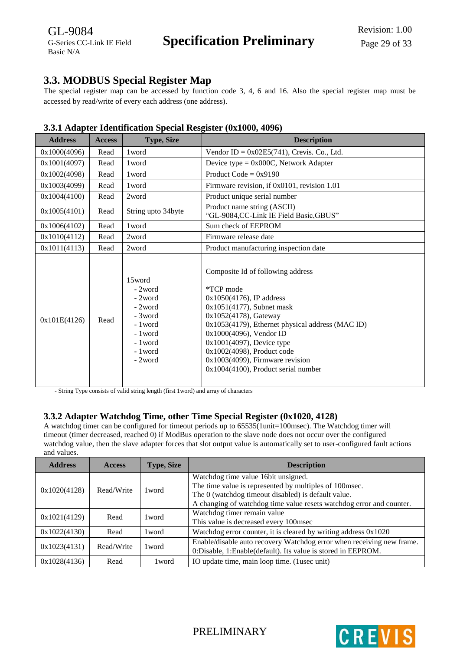# <span id="page-28-0"></span>**3.3. MODBUS Special Register Map**

The special register map can be accessed by function code 3, 4, 6 and 16. Also the special register map must be accessed by read/write of every each address (one address).

| <b>Address</b> | <b>Access</b> | <b>Type, Size</b>                                                                                             | $\mu$ . Therefore recommended by pectation $\mu$ , $\mu$ and $\sigma$ $\sigma$ , $\sigma$ , $\sigma$ , $\sigma$ , $\sigma$ , $\sigma$<br><b>Description</b>                                                                                                                                                                                                   |  |  |
|----------------|---------------|---------------------------------------------------------------------------------------------------------------|---------------------------------------------------------------------------------------------------------------------------------------------------------------------------------------------------------------------------------------------------------------------------------------------------------------------------------------------------------------|--|--|
| 0x1000(4096)   | Read          | 1 word                                                                                                        | Vendor ID = $0x02E5(741)$ , Crevis. Co., Ltd.                                                                                                                                                                                                                                                                                                                 |  |  |
| 0x1001(4097)   | Read          | 1 word                                                                                                        | Device type = $0x000C$ , Network Adapter                                                                                                                                                                                                                                                                                                                      |  |  |
| 0x1002(4098)   | Read          | 1 word                                                                                                        | Product Code = $0x9190$                                                                                                                                                                                                                                                                                                                                       |  |  |
| 0x1003(4099)   | Read          | 1 word                                                                                                        | Firmware revision, if 0x0101, revision 1.01                                                                                                                                                                                                                                                                                                                   |  |  |
| 0x1004(4100)   | Read          | 2word                                                                                                         | Product unique serial number                                                                                                                                                                                                                                                                                                                                  |  |  |
| 0x1005(4101)   | Read          | String upto 34byte                                                                                            | Product name string (ASCII)<br>"GL-9084,CC-Link IE Field Basic,GBUS"                                                                                                                                                                                                                                                                                          |  |  |
| 0x1006(4102)   | Read          | 1 word                                                                                                        | Sum check of EEPROM                                                                                                                                                                                                                                                                                                                                           |  |  |
| 0x1010(4112)   | Read          | 2word                                                                                                         | Firmware release date                                                                                                                                                                                                                                                                                                                                         |  |  |
| 0x1011(4113)   | Read          | 2word                                                                                                         | Product manufacturing inspection date                                                                                                                                                                                                                                                                                                                         |  |  |
| 0x101E(4126)   | Read          | 15word<br>- 2word<br>- 2word<br>- 2word<br>- 3word<br>- 1 word<br>- 1 word<br>- 1 word<br>- 1 word<br>- 2word | Composite Id of following address<br>*TCP mode<br>$0x1050(4176)$ , IP address<br>0x1051(4177), Subnet mask<br>0x1052(4178), Gateway<br>0x1053(4179), Ethernet physical address (MAC ID)<br>0x1000(4096), Vendor ID<br>0x1001(4097), Device type<br>0x1002(4098), Product code<br>$0x1003(4099)$ , Firmware revision<br>$0x1004(4100)$ , Product serial number |  |  |

# <span id="page-28-1"></span>**3.3.1 Adapter Identification Special Resgister (0x1000, 4096)**

- String Type consists of valid string length (first 1word) and array of characters

# <span id="page-28-2"></span>**3.3.2 Adapter Watchdog Time, other Time Special Register (0x1020, 4128)**

A watchdog timer can be configured for timeout periods up to 65535(1unit=100msec). The Watchdog timer will timeout (timer decreased, reached 0) if ModBus operation to the slave node does not occur over the configured watchdog value, then the slave adapter forces that slot output value is automatically set to user-configured fault actions and values.

| <b>Address</b> | <b>Access</b> | <b>Type, Size</b> | <b>Description</b>                                                    |  |  |
|----------------|---------------|-------------------|-----------------------------------------------------------------------|--|--|
|                |               |                   | Watchdog time value 16bit unsigned.                                   |  |  |
|                | Read/Write    | 1 word            | The time value is represented by multiples of 100msec.                |  |  |
| 0x1020(4128)   |               |                   | The 0 (watchdog timeout disabled) is default value.                   |  |  |
|                |               |                   | A changing of watchdog time value resets watchdog error and counter.  |  |  |
| Read           |               | 1 word            | Watchdog timer remain value                                           |  |  |
| 0x1021(4129)   |               |                   | This value is decreased every 100msec                                 |  |  |
| 0x1022(4130)   | Read          | 1 word            | Watchdog error counter, it is cleared by writing address 0x1020       |  |  |
| 0x1023(4131)   | Read/Write    | 1 word            | Enable/disable auto recovery Watchdog error when receiving new frame. |  |  |
|                |               |                   | 0:Disable, 1:Enable(default). Its value is stored in EEPROM.          |  |  |
| 0x1028(4136)   | Read          | 1 word            | IO update time, main loop time. (lusec unit)                          |  |  |



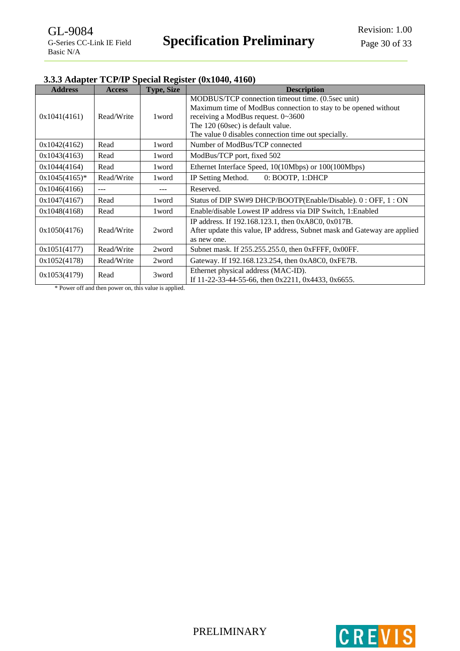# <span id="page-29-0"></span>**3.3.3 Adapter TCP/IP Special Register (0x1040, 4160)**

| <b>Address</b>   | <b>Access</b> | <b>Type, Size</b> | <b>Description</b>                                                                                                                                                                                                                                    |  |  |  |
|------------------|---------------|-------------------|-------------------------------------------------------------------------------------------------------------------------------------------------------------------------------------------------------------------------------------------------------|--|--|--|
| 0x1041(4161)     | Read/Write    | 1 word            | MODBUS/TCP connection timeout time. (0.5sec unit)<br>Maximum time of ModBus connection to stay to be opened without<br>receiving a ModBus request. 0~3600<br>The 120 (60sec) is default value.<br>The value 0 disables connection time out specially. |  |  |  |
| 0x1042(4162)     | Read          | 1 word            | Number of ModBus/TCP connected                                                                                                                                                                                                                        |  |  |  |
| 0x1043(4163)     | Read          | 1 word            | ModBus/TCP port, fixed 502                                                                                                                                                                                                                            |  |  |  |
| 0x1044(4164)     | Read          | 1 word            | Ethernet Interface Speed, 10(10Mbps) or 100(100Mbps)                                                                                                                                                                                                  |  |  |  |
| $0x1045(4165)^*$ | Read/Write    | 1 word            | IP Setting Method.<br>0: BOOTP, 1:DHCP                                                                                                                                                                                                                |  |  |  |
| 0x1046(4166)     | $---$         | ---               | Reserved.                                                                                                                                                                                                                                             |  |  |  |
| 0x1047(4167)     | Read          | 1 word            | Status of DIP SW#9 DHCP/BOOTP(Enable/Disable). 0: OFF, 1: ON                                                                                                                                                                                          |  |  |  |
| 0x1048(4168)     | Read          | 1 word            | Enable/disable Lowest IP address via DIP Switch, 1: Enabled                                                                                                                                                                                           |  |  |  |
| 0x1050(4176)     | Read/Write    | 2word             | IP address. If 192.168.123.1, then 0xA8C0, 0x017B.<br>After update this value, IP address, Subnet mask and Gateway are applied<br>as new one.                                                                                                         |  |  |  |
| 0x1051(4177)     | Read/Write    | 2word             | Subnet mask. If 255.255.255.0, then 0xFFFF, 0x00FF.                                                                                                                                                                                                   |  |  |  |
| 0x1052(4178)     | Read/Write    | 2word             | Gateway. If 192.168.123.254, then 0xA8C0, 0xFE7B.                                                                                                                                                                                                     |  |  |  |
| 0x1053(4179)     | Read          | 3word             | Ethernet physical address (MAC-ID).<br>If 11-22-33-44-55-66, then $0x2211$ , $0x4433$ , $0x6655$ .                                                                                                                                                    |  |  |  |

\* Power off and then power on, this value is applied.



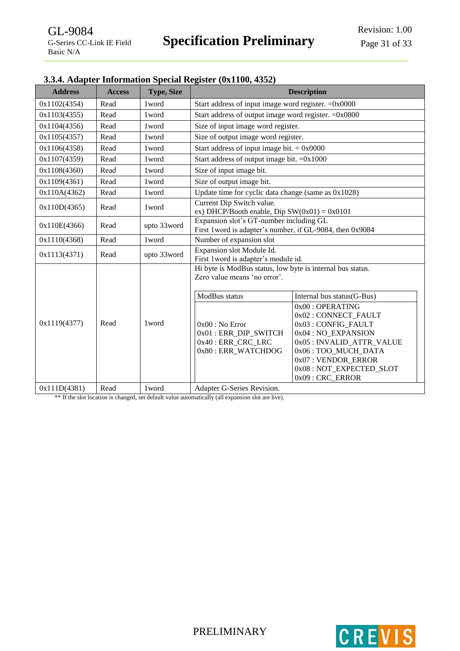<span id="page-30-0"></span>

| 3.3.4. Adapter Information Special Register (0x1100, 4352) |  |
|------------------------------------------------------------|--|
|------------------------------------------------------------|--|

| <b>Address</b> | <b>Access</b> | <b>Type, Size</b> | <b>Description</b>                                                                                  |                                                                                                                                                                                                            |  |
|----------------|---------------|-------------------|-----------------------------------------------------------------------------------------------------|------------------------------------------------------------------------------------------------------------------------------------------------------------------------------------------------------------|--|
| 0x1102(4354)   | Read          | 1 word            | Start address of input image word register. $=0x0000$                                               |                                                                                                                                                                                                            |  |
| 0x1103(4355)   | Read          | 1 word            | Start address of output image word register. $=0x0800$                                              |                                                                                                                                                                                                            |  |
| 0x1104(4356)   | Read          | 1 word            | Size of input image word register.                                                                  |                                                                                                                                                                                                            |  |
| 0x1105(4357)   | Read          | 1 word            | Size of output image word register.                                                                 |                                                                                                                                                                                                            |  |
| 0x1106(4358)   | Read          | 1 word            | Start address of input image bit. $= 0x0000$                                                        |                                                                                                                                                                                                            |  |
| 0x1107(4359)   | Read          | 1 word            | Start address of output image bit. $=0x1000$                                                        |                                                                                                                                                                                                            |  |
| 0x1108(4360)   | Read          | 1 word            | Size of input image bit.                                                                            |                                                                                                                                                                                                            |  |
| 0x1109(4361)   | Read          | 1 word            | Size of output image bit.                                                                           |                                                                                                                                                                                                            |  |
| 0x110A(4362)   | Read          | 1 word            | Update time for cyclic data change (same as $0x1028$ )                                              |                                                                                                                                                                                                            |  |
| 0x110D(4365)   | Read          | 1 word            | Current Dip Switch value.<br>ex) DHCP/Booth enable, Dip $SW(0x01) = 0x0101$                         |                                                                                                                                                                                                            |  |
| 0x110E(4366)   | Read          | upto 33word       | Expansion slot's GT-number including GL<br>First 1word is adapter's number, if GL-9084, then 0x9084 |                                                                                                                                                                                                            |  |
| 0x1110(4368)   | Read          | 1 word            | Number of expansion slot                                                                            |                                                                                                                                                                                                            |  |
| 0x1113(4371)   | Read          | upto 33word       | Expansion slot Module Id.<br>First 1 word is adapter's module id.                                   |                                                                                                                                                                                                            |  |
|                |               |                   | Hi byte is ModBus status, low byte is internal bus status.<br>Zero value means 'no error'.          |                                                                                                                                                                                                            |  |
|                |               |                   | ModBus status                                                                                       | Internal bus status(G-Bus)                                                                                                                                                                                 |  |
| 0x1119(4377)   | Read          | 1 word            | $0x00:$ No Error<br>0x01: ERR_DIP_SWITCH<br>0x40 : ERR_CRC_LRC<br>0x80 : ERR_WATCHDOG               | 0x00: OPERATING<br>0x02: CONNECT_FAULT<br>0x03: CONFIG FAULT<br>0x04 : NO EXPANSION<br>0x05: INVALID_ATTR_VALUE<br>0x06: TOO_MUCH_DATA<br>0x07: VENDOR_ERROR<br>0x08: NOT_EXPECTED_SLOT<br>0x09: CRC_ERROR |  |
| 0x111D(4381)   | Read          | 1 word            | Adapter G-Series Revision.                                                                          |                                                                                                                                                                                                            |  |

\*\* If the slot location is changed, set default value automatically (all expansion slot are live).

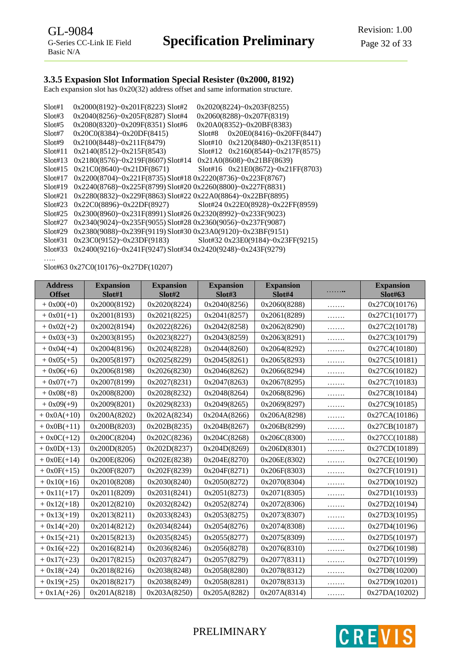## <span id="page-31-0"></span>**3.3.5 Expasion Slot Information Special Resister (0x2000, 8192)**

Each expansion slot has 0x20(32) address offset and same information structure.

| Slot#1  | $0x2000(8192)$ ~ $0x201F(8223)$ Slot#2                                  |         | 0x2020(8224)~0x203F(8255)            |
|---------|-------------------------------------------------------------------------|---------|--------------------------------------|
| Slot#3  | $0x2040(8256)$ ~ $0x205F(8287)$ Slot#4                                  |         | $0x2060(8288)$ ~ $0x207F(8319)$      |
| Slot#5  | $0x2080(8320)$ ~ $0x209F(8351)$ Slot#6                                  |         | $0x20A0(8352)$ ~ $0x20BF(8383)$      |
| Slot#7  | $0x20C0(8384)$ ~ $0x20DF(8415)$                                         | Slot#8  | $0x20E0(8416)$ ~ $0x20FF(8447)$      |
| Slot#9  | $0x2100(8448)$ ~ $0x211F(8479)$                                         | Slot#10 | $0x2120(8480)$ ~ $0x213F(8511)$      |
| Slot#11 | $0x2140(8512)$ ~ $0x215F(8543)$                                         |         | Slot#12 $0x2160(8544)~0x217F(8575)$  |
| Slot#13 | $0x2180(8576)$ ~ $0x219F(8607)$ Slot#14                                 |         | $0x21A0(8608)$ ~ $0x21BF(8639)$      |
| Slot#15 | $0x21C0(8640)$ ~ $0x21DF(8671)$                                         |         | Slot#16 $0x21E0(8672)$ ~0x21FF(8703) |
| Slot#17 | 0x2200(8704)~0x221F(8735) Slot#18 0x2220(8736)~0x223F(8767)             |         |                                      |
| Slot#19 | 0x2240(8768)~0x225F(8799) Slot#20 0x2260(8800)~0x227F(8831)             |         |                                      |
| Slot#21 | $0x2280(8832)$ ~ $0x229F(8863)$ Slot#22 $0x22A0(8864)$ ~ $0x22BF(8895)$ |         |                                      |
| Slot#23 | $0x22C0(8896)$ ~ $0x22DF(8927)$ Slot#24 $0x22E0(8928)$ ~ $0x22FF(8959)$ |         |                                      |
| S1ot#25 | 0x2300(8960)~0x231F(8991) Slot#26 0x2320(8992)~0x233F(9023)             |         |                                      |
| Slot#27 | 0x2340(9024)~0x235F(9055) Slot#28 0x2360(9056)~0x237F(9087)             |         |                                      |
| Slot#29 | 0x2380(9088)~0x239F(9119) Slot#30 0x23A0(9120)~0x23BF(9151)             |         |                                      |
| Slot#31 | 0x23C0(9152)~0x23DF(9183)                                               |         | Slot#32 0x23E0(9184)~0x23FF(9215)    |
| Slot#33 | 0x2400(9216)~0x241F(9247) Slot#34 0x2420(9248)~0x243F(9279)             |         |                                      |
|         |                                                                         |         |                                      |

Slot#63 0x27C0(10176)~0x27DF(10207)

| <b>Address</b><br><b>Offset</b> | <b>Expansion</b><br>Slot#1 | <b>Expansion</b><br>Slot#2 | <b>Expansion</b><br>Slot#3 | <b>Expansion</b><br>Slot#4 | . | <b>Expansion</b><br><b>Slot#63</b> |
|---------------------------------|----------------------------|----------------------------|----------------------------|----------------------------|---|------------------------------------|
| $+ 0x00(+0)$                    | 0x2000(8192)               | 0x2020(8224)               | 0x2040(8256)               | 0x2060(8288)               | . | 0x27C0(10176)                      |
| $+ 0x01(+1)$                    | 0x2001(8193)               | 0x2021(8225)               | 0x2041(8257)               | 0x2061(8289)               | . | 0x27C1(10177)                      |
| $+ 0x02(+2)$                    | 0x2002(8194)               | 0x2022(8226)               | 0x2042(8258)               | 0x2062(8290)               | . | 0x27C2(10178)                      |
| $+ 0x03(+3)$                    | 0x2003(8195)               | 0x2023(8227)               | 0x2043(8259)               | 0x2063(8291)               | . | 0x27C3(10179)                      |
| $+ 0x04(+4)$                    | 0x2004(8196)               | 0x2024(8228)               | 0x2044(8260)               | 0x2064(8292)               | . | 0x27C4(10180)                      |
| $+0x05(+5)$                     | 0x2005(8197)               | 0x2025(8229)               | 0x2045(8261)               | 0x2065(8293)               | . | 0x27C5(10181)                      |
| $+0x06(+6)$                     | 0x2006(8198)               | 0x2026(8230)               | 0x2046(8262)               | 0x2066(8294)               | . | 0x27C6(10182)                      |
| $+ 0x07(+7)$                    | 0x2007(8199)               | 0x2027(8231)               | 0x2047(8263)               | 0x2067(8295)               | . | 0x27C7(10183)                      |
| $+0x08(+8)$                     | 0x2008(8200)               | 0x2028(8232)               | 0x2048(8264)               | 0x2068(8296)               | . | 0x27C8(10184)                      |
| $+0x09(+9)$                     | 0x2009(8201)               | 0x2029(8233)               | 0x2049(8265)               | 0x2069(8297)               | . | 0x27C9(10185)                      |
| $+ 0x0A(+10)$                   | 0x200A(8202)               | 0x202A(8234)               | 0x204A(8266)               | 0x206A(8298)               | . | 0x27CA(10186)                      |
| $+ 0x0B(+11)$                   | 0x200B(8203)               | 0x202B(8235)               | 0x204B(8267)               | 0x206B(8299)               | . | 0x27CB(10187)                      |
| $+0x0C(+12)$                    | 0x200C(8204)               | 0x202C(8236)               | 0x204C(8268)               | 0x206C(8300)               | . | 0x27CC(10188)                      |
| $+ 0x0D(+13)$                   | 0x200D(8205)               | 0x202D(8237)               | 0x204D(8269)               | 0x206D(8301)               | . | 0x27CD(10189)                      |
| $+ 0x0E(+14)$                   | 0x200E(8206)               | 0x202E(8238)               | 0x204E(8270)               | 0x206E(8302)               | . | 0x27CE(10190)                      |
| $+ 0x0F(+15)$                   | 0x200F(8207)               | 0x202F(8239)               | 0x204F(8271)               | 0x206F(8303)               | . | 0x27CF(10191)                      |
| $+ 0x10(+16)$                   | 0x2010(8208)               | 0x2030(8240)               | 0x2050(8272)               | 0x2070(8304)               | . | 0x27D0(10192)                      |
| $+ 0x11(+17)$                   | 0x2011(8209)               | 0x2031(8241)               | 0x2051(8273)               | 0x2071(8305)               |   | 0x27D1(10193)                      |
| $+ 0x12(+18)$                   | 0x2012(8210)               | 0x2032(8242)               | 0x2052(8274)               | 0x2072(8306)               | . | 0x27D2(10194)                      |
| $+ 0x13(+19)$                   | 0x2013(8211)               | 0x2033(8243)               | 0x2053(8275)               | 0x2073(8307)               | . | 0x27D3(10195)                      |
| $+0x14(+20)$                    | 0x2014(8212)               | 0x2034(8244)               | 0x2054(8276)               | 0x2074(8308)               | . | 0x27D4(10196)                      |
| $+0x15(+21)$                    | 0x2015(8213)               | 0x2035(8245)               | 0x2055(8277)               | 0x2075(8309)               | . | 0x27D5(10197)                      |
| $+0x16(+22)$                    | 0x2016(8214)               | 0x2036(8246)               | 0x2056(8278)               | 0x2076(8310)               | . | 0x27D6(10198)                      |
| $+0x17(+23)$                    | 0x2017(8215)               | 0x2037(8247)               | 0x2057(8279)               | 0x2077(8311)               | . | 0x27D7(10199)                      |
| $+0x18(+24)$                    | 0x2018(8216)               | 0x2038(8248)               | 0x2058(8280)               | 0x2078(8312)               | . | 0x27D8(10200)                      |
| $+0x19(+25)$                    | 0x2018(8217)               | 0x2038(8249)               | 0x2058(8281)               | 0x2078(8313)               | . | 0x27D9(10201)                      |
| $+ 0x1A(+26)$                   | 0x201A(8218)               | 0x203A(8250)               | 0x205A(8282)               | 0x207A(8314)               | . | 0x27DA(10202)                      |